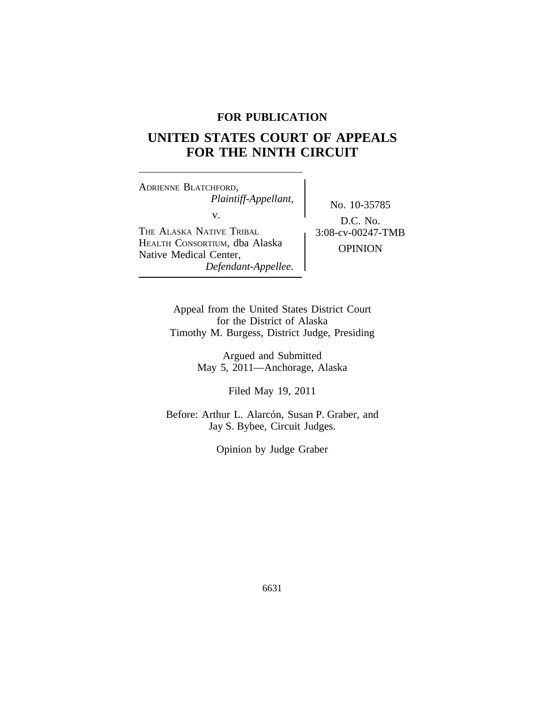# **FOR PUBLICATION**

# **UNITED STATES COURT OF APPEALS FOR THE NINTH CIRCUIT**

<sup>A</sup>DRIENNE BLATCHFORD, *Plaintiff-Appellant,* No. 10-35785<br>v.  $\qquad \qquad$  No. 10-35785 THE ALASKA NATIVE TRIBAL  $\int 3:08-cv-00247$ -TMB <sup>H</sup>EALTH CONSORTIUM, dba Alaska OPINION Native Medical Center, *Defendant-Appellee.*

D.C. No.

Appeal from the United States District Court for the District of Alaska Timothy M. Burgess, District Judge, Presiding

> Argued and Submitted May 5, 2011—Anchorage, Alaska

> > Filed May 19, 2011

Before: Arthur L. Alarcón, Susan P. Graber, and Jay S. Bybee, Circuit Judges.

Opinion by Judge Graber

6631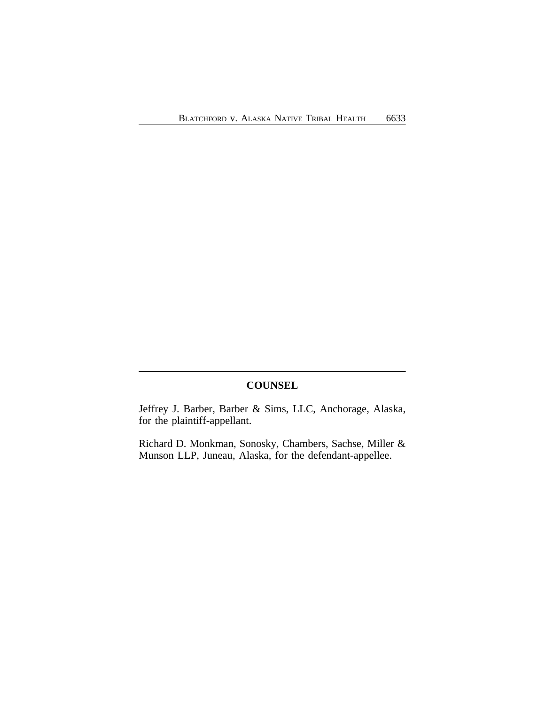# **COUNSEL**

Jeffrey J. Barber, Barber & Sims, LLC, Anchorage, Alaska, for the plaintiff-appellant.

Richard D. Monkman, Sonosky, Chambers, Sachse, Miller & Munson LLP, Juneau, Alaska, for the defendant-appellee.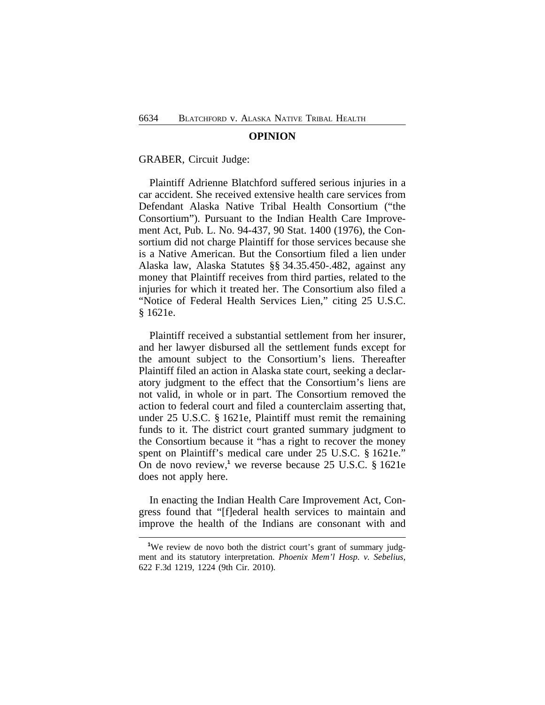#### **OPINION**

#### GRABER, Circuit Judge:

Plaintiff Adrienne Blatchford suffered serious injuries in a car accident. She received extensive health care services from Defendant Alaska Native Tribal Health Consortium ("the Consortium"). Pursuant to the Indian Health Care Improvement Act, Pub. L. No. 94-437, 90 Stat. 1400 (1976), the Consortium did not charge Plaintiff for those services because she is a Native American. But the Consortium filed a lien under Alaska law, Alaska Statutes §§ 34.35.450-.482, against any money that Plaintiff receives from third parties, related to the injuries for which it treated her. The Consortium also filed a "Notice of Federal Health Services Lien," citing 25 U.S.C. § 1621e.

Plaintiff received a substantial settlement from her insurer, and her lawyer disbursed all the settlement funds except for the amount subject to the Consortium's liens. Thereafter Plaintiff filed an action in Alaska state court, seeking a declaratory judgment to the effect that the Consortium's liens are not valid, in whole or in part. The Consortium removed the action to federal court and filed a counterclaim asserting that, under 25 U.S.C. § 1621e, Plaintiff must remit the remaining funds to it. The district court granted summary judgment to the Consortium because it "has a right to recover the money spent on Plaintiff's medical care under 25 U.S.C. § 1621e." On de novo review,**<sup>1</sup>** we reverse because 25 U.S.C. § 1621e does not apply here.

In enacting the Indian Health Care Improvement Act, Congress found that "[f]ederal health services to maintain and improve the health of the Indians are consonant with and

<sup>&</sup>lt;sup>1</sup>We review de novo both the district court's grant of summary judgment and its statutory interpretation. *Phoenix Mem'l Hosp. v. Sebelius*, 622 F.3d 1219, 1224 (9th Cir. 2010).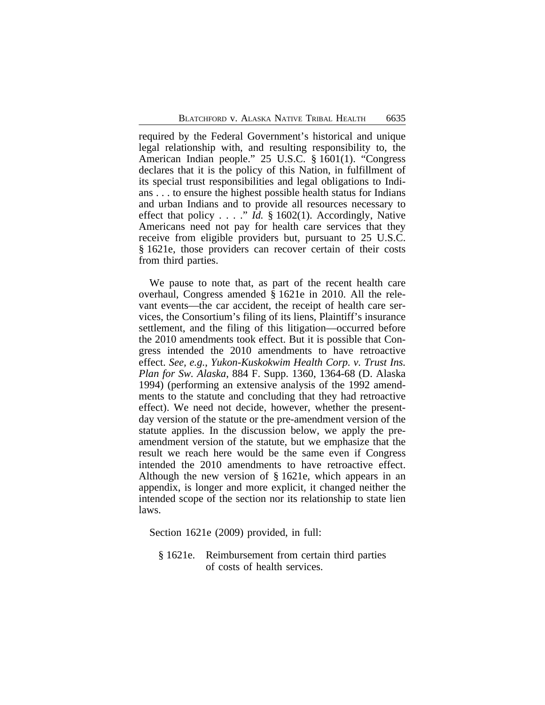required by the Federal Government's historical and unique legal relationship with, and resulting responsibility to, the American Indian people." 25 U.S.C. § 1601(1). "Congress declares that it is the policy of this Nation, in fulfillment of its special trust responsibilities and legal obligations to Indians . . . to ensure the highest possible health status for Indians and urban Indians and to provide all resources necessary to effect that policy . . . ." *Id.* § 1602(1). Accordingly, Native Americans need not pay for health care services that they receive from eligible providers but, pursuant to 25 U.S.C. § 1621e, those providers can recover certain of their costs from third parties.

We pause to note that, as part of the recent health care overhaul, Congress amended § 1621e in 2010. All the relevant events—the car accident, the receipt of health care services, the Consortium's filing of its liens, Plaintiff's insurance settlement, and the filing of this litigation—occurred before the 2010 amendments took effect. But it is possible that Congress intended the 2010 amendments to have retroactive effect. *See, e.g.*, *Yukon-Kuskokwim Health Corp. v. Trust Ins. Plan for Sw. Alaska*, 884 F. Supp. 1360, 1364-68 (D. Alaska 1994) (performing an extensive analysis of the 1992 amendments to the statute and concluding that they had retroactive effect). We need not decide, however, whether the presentday version of the statute or the pre-amendment version of the statute applies. In the discussion below, we apply the preamendment version of the statute, but we emphasize that the result we reach here would be the same even if Congress intended the 2010 amendments to have retroactive effect. Although the new version of § 1621e, which appears in an appendix, is longer and more explicit, it changed neither the intended scope of the section nor its relationship to state lien laws.

Section 1621e (2009) provided, in full:

§ 1621e. Reimbursement from certain third parties of costs of health services.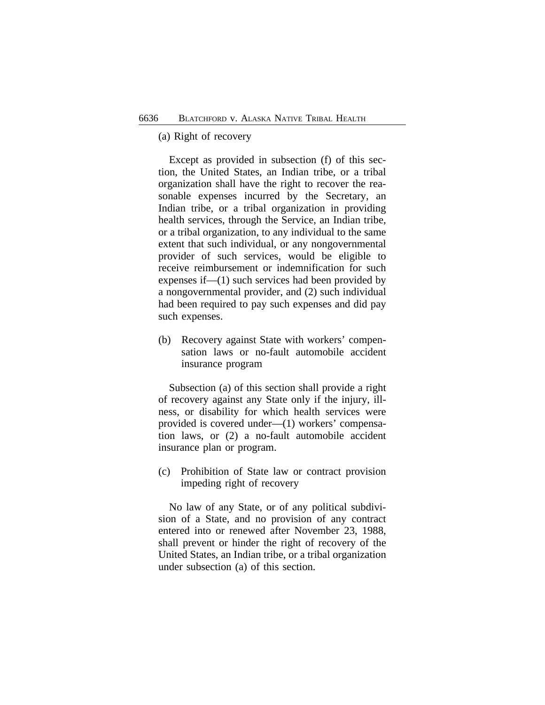# (a) Right of recovery

Except as provided in subsection (f) of this section, the United States, an Indian tribe, or a tribal organization shall have the right to recover the reasonable expenses incurred by the Secretary, an Indian tribe, or a tribal organization in providing health services, through the Service, an Indian tribe, or a tribal organization, to any individual to the same extent that such individual, or any nongovernmental provider of such services, would be eligible to receive reimbursement or indemnification for such expenses if—(1) such services had been provided by a nongovernmental provider, and (2) such individual had been required to pay such expenses and did pay such expenses.

(b) Recovery against State with workers' compensation laws or no-fault automobile accident insurance program

Subsection (a) of this section shall provide a right of recovery against any State only if the injury, illness, or disability for which health services were provided is covered under—(1) workers' compensation laws, or (2) a no-fault automobile accident insurance plan or program.

(c) Prohibition of State law or contract provision impeding right of recovery

No law of any State, or of any political subdivision of a State, and no provision of any contract entered into or renewed after November 23, 1988, shall prevent or hinder the right of recovery of the United States, an Indian tribe, or a tribal organization under subsection (a) of this section.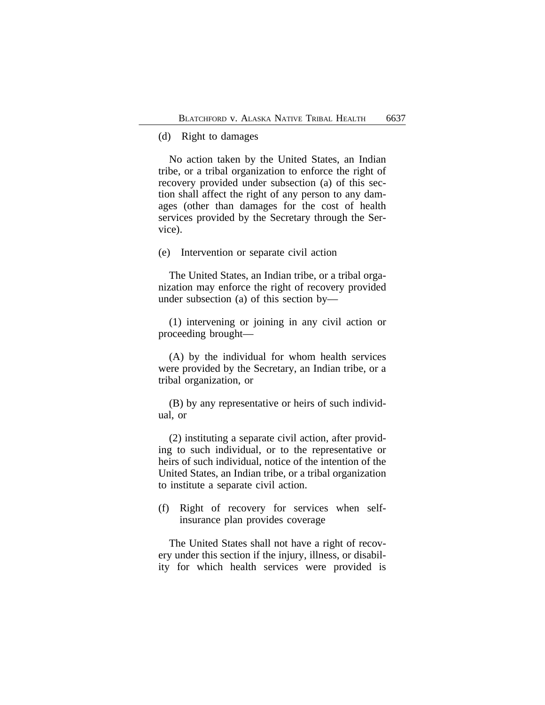# (d) Right to damages

No action taken by the United States, an Indian tribe, or a tribal organization to enforce the right of recovery provided under subsection (a) of this section shall affect the right of any person to any damages (other than damages for the cost of health services provided by the Secretary through the Service).

(e) Intervention or separate civil action

The United States, an Indian tribe, or a tribal organization may enforce the right of recovery provided under subsection (a) of this section by—

(1) intervening or joining in any civil action or proceeding brought—

(A) by the individual for whom health services were provided by the Secretary, an Indian tribe, or a tribal organization, or

(B) by any representative or heirs of such individual, or

(2) instituting a separate civil action, after providing to such individual, or to the representative or heirs of such individual, notice of the intention of the United States, an Indian tribe, or a tribal organization to institute a separate civil action.

(f) Right of recovery for services when selfinsurance plan provides coverage

The United States shall not have a right of recovery under this section if the injury, illness, or disability for which health services were provided is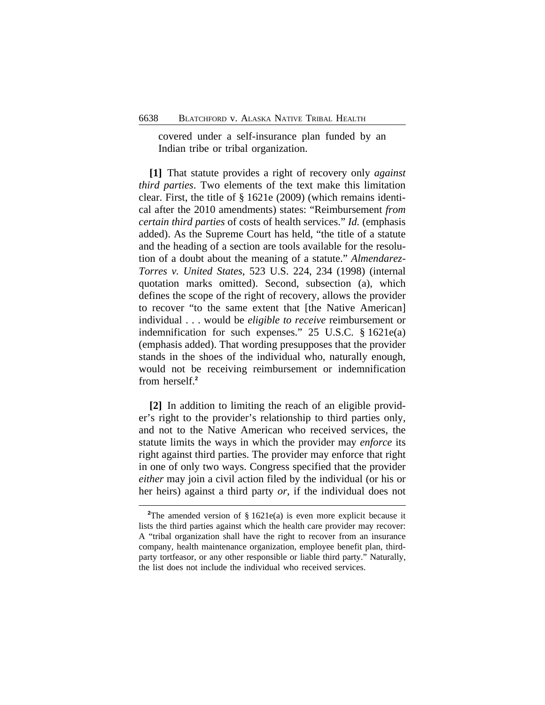covered under a self-insurance plan funded by an Indian tribe or tribal organization.

**[1]** That statute provides a right of recovery only *against third parties*. Two elements of the text make this limitation clear. First, the title of § 1621e (2009) (which remains identical after the 2010 amendments) states: "Reimbursement *from certain third parties* of costs of health services." *Id.* (emphasis added). As the Supreme Court has held, "the title of a statute and the heading of a section are tools available for the resolution of a doubt about the meaning of a statute." *Almendarez-Torres v. United States*, 523 U.S. 224, 234 (1998) (internal quotation marks omitted). Second, subsection (a), which defines the scope of the right of recovery, allows the provider to recover "to the same extent that [the Native American] individual . . . would be *eligible to receive* reimbursement or indemnification for such expenses." 25 U.S.C. § 1621e(a) (emphasis added). That wording presupposes that the provider stands in the shoes of the individual who, naturally enough, would not be receiving reimbursement or indemnification from herself.**<sup>2</sup>**

**[2]** In addition to limiting the reach of an eligible provider's right to the provider's relationship to third parties only, and not to the Native American who received services, the statute limits the ways in which the provider may *enforce* its right against third parties. The provider may enforce that right in one of only two ways. Congress specified that the provider *either* may join a civil action filed by the individual (or his or her heirs) against a third party *or*, if the individual does not

<sup>&</sup>lt;sup>2</sup>The amended version of § 1621e(a) is even more explicit because it lists the third parties against which the health care provider may recover: A "tribal organization shall have the right to recover from an insurance company, health maintenance organization, employee benefit plan, thirdparty tortfeasor, or any other responsible or liable third party." Naturally, the list does not include the individual who received services.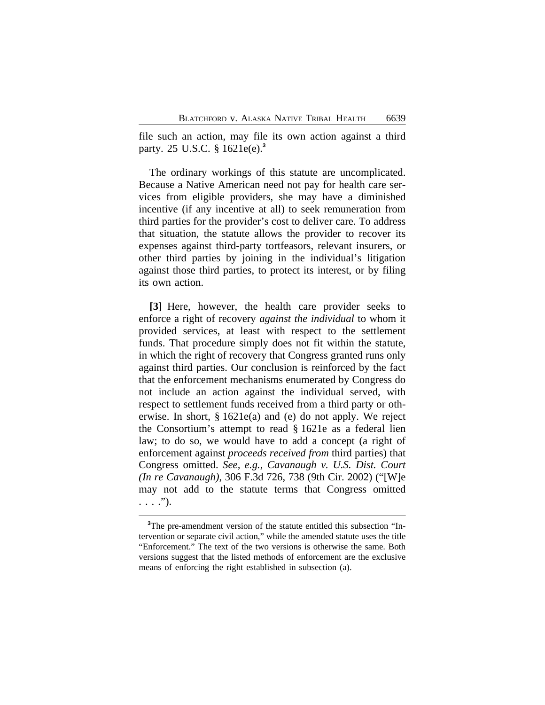file such an action, may file its own action against a third party. 25 U.S.C. § 1621e(e).**<sup>3</sup>**

The ordinary workings of this statute are uncomplicated. Because a Native American need not pay for health care services from eligible providers, she may have a diminished incentive (if any incentive at all) to seek remuneration from third parties for the provider's cost to deliver care. To address that situation, the statute allows the provider to recover its expenses against third-party tortfeasors, relevant insurers, or other third parties by joining in the individual's litigation against those third parties, to protect its interest, or by filing its own action.

**[3]** Here, however, the health care provider seeks to enforce a right of recovery *against the individual* to whom it provided services, at least with respect to the settlement funds. That procedure simply does not fit within the statute, in which the right of recovery that Congress granted runs only against third parties. Our conclusion is reinforced by the fact that the enforcement mechanisms enumerated by Congress do not include an action against the individual served, with respect to settlement funds received from a third party or otherwise. In short, § 1621e(a) and (e) do not apply. We reject the Consortium's attempt to read § 1621e as a federal lien law; to do so, we would have to add a concept (a right of enforcement against *proceeds received from* third parties) that Congress omitted. *See, e.g.*, *Cavanaugh v. U.S. Dist. Court (In re Cavanaugh)*, 306 F.3d 726, 738 (9th Cir. 2002) ("[W]e may not add to the statute terms that Congress omitted  $\ldots$  .").

**<sup>3</sup>**The pre-amendment version of the statute entitled this subsection "Intervention or separate civil action," while the amended statute uses the title "Enforcement." The text of the two versions is otherwise the same. Both versions suggest that the listed methods of enforcement are the exclusive means of enforcing the right established in subsection (a).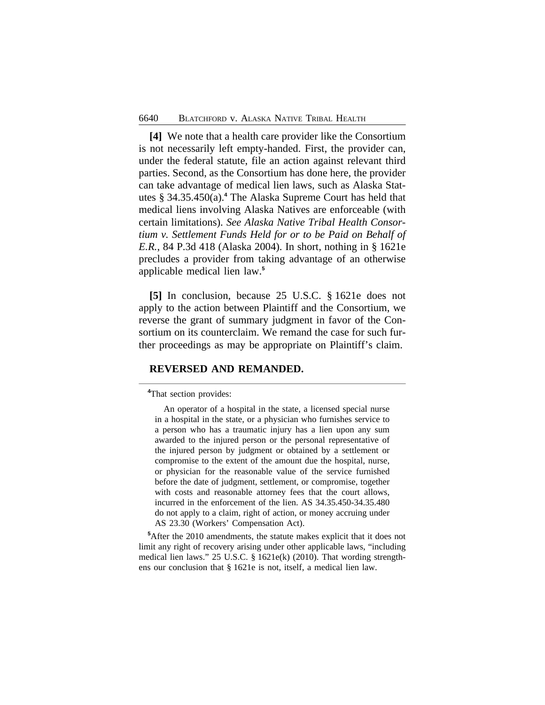**[4]** We note that a health care provider like the Consortium is not necessarily left empty-handed. First, the provider can, under the federal statute, file an action against relevant third parties. Second, as the Consortium has done here, the provider can take advantage of medical lien laws, such as Alaska Statutes § 34.35.450(a).**<sup>4</sup>** The Alaska Supreme Court has held that medical liens involving Alaska Natives are enforceable (with certain limitations). *See Alaska Native Tribal Health Consortium v. Settlement Funds Held for or to be Paid on Behalf of E.R.*, 84 P.3d 418 (Alaska 2004). In short, nothing in § 1621e precludes a provider from taking advantage of an otherwise applicable medical lien law.**<sup>5</sup>**

**[5]** In conclusion, because 25 U.S.C. § 1621e does not apply to the action between Plaintiff and the Consortium, we reverse the grant of summary judgment in favor of the Consortium on its counterclaim. We remand the case for such further proceedings as may be appropriate on Plaintiff's claim.

#### **REVERSED AND REMANDED.**

**<sup>4</sup>**That section provides:

An operator of a hospital in the state, a licensed special nurse in a hospital in the state, or a physician who furnishes service to a person who has a traumatic injury has a lien upon any sum awarded to the injured person or the personal representative of the injured person by judgment or obtained by a settlement or compromise to the extent of the amount due the hospital, nurse, or physician for the reasonable value of the service furnished before the date of judgment, settlement, or compromise, together with costs and reasonable attorney fees that the court allows, incurred in the enforcement of the lien. AS 34.35.450-34.35.480 do not apply to a claim, right of action, or money accruing under AS 23.30 (Workers' Compensation Act).

**<sup>5</sup>**After the 2010 amendments, the statute makes explicit that it does not limit any right of recovery arising under other applicable laws, "including medical lien laws." 25 U.S.C. § 1621e(k) (2010). That wording strengthens our conclusion that § 1621e is not, itself, a medical lien law.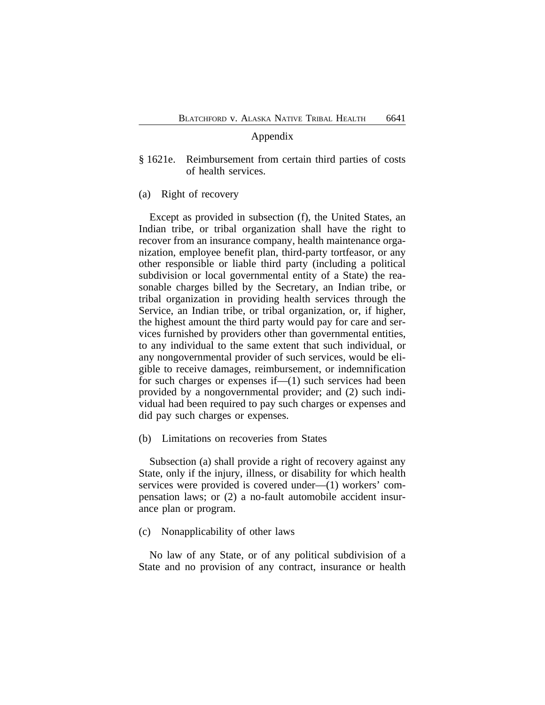# Appendix

- § 1621e. Reimbursement from certain third parties of costs of health services.
- (a) Right of recovery

Except as provided in subsection (f), the United States, an Indian tribe, or tribal organization shall have the right to recover from an insurance company, health maintenance organization, employee benefit plan, third-party tortfeasor, or any other responsible or liable third party (including a political subdivision or local governmental entity of a State) the reasonable charges billed by the Secretary, an Indian tribe, or tribal organization in providing health services through the Service, an Indian tribe, or tribal organization, or, if higher, the highest amount the third party would pay for care and services furnished by providers other than governmental entities, to any individual to the same extent that such individual, or any nongovernmental provider of such services, would be eligible to receive damages, reimbursement, or indemnification for such charges or expenses if—(1) such services had been provided by a nongovernmental provider; and (2) such individual had been required to pay such charges or expenses and did pay such charges or expenses.

(b) Limitations on recoveries from States

Subsection (a) shall provide a right of recovery against any State, only if the injury, illness, or disability for which health services were provided is covered under—(1) workers' compensation laws; or (2) a no-fault automobile accident insurance plan or program.

(c) Nonapplicability of other laws

No law of any State, or of any political subdivision of a State and no provision of any contract, insurance or health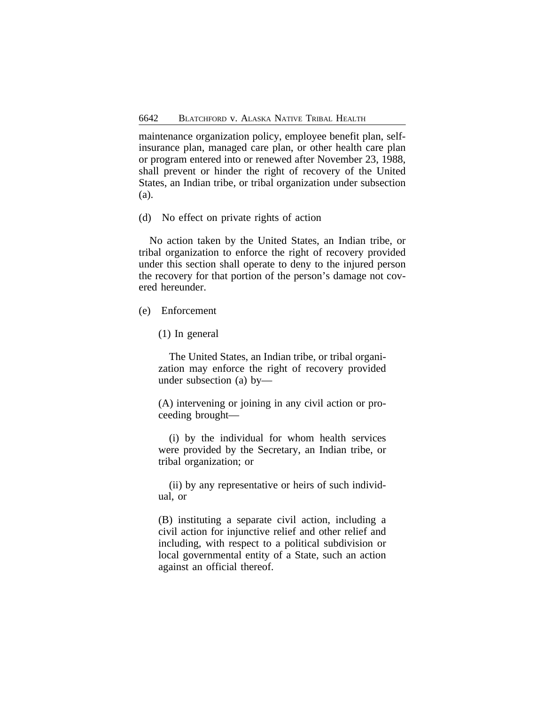maintenance organization policy, employee benefit plan, selfinsurance plan, managed care plan, or other health care plan or program entered into or renewed after November 23, 1988, shall prevent or hinder the right of recovery of the United States, an Indian tribe, or tribal organization under subsection (a).

(d) No effect on private rights of action

No action taken by the United States, an Indian tribe, or tribal organization to enforce the right of recovery provided under this section shall operate to deny to the injured person the recovery for that portion of the person's damage not covered hereunder.

(e) Enforcement

(1) In general

The United States, an Indian tribe, or tribal organization may enforce the right of recovery provided under subsection (a) by—

(A) intervening or joining in any civil action or proceeding brought—

(i) by the individual for whom health services were provided by the Secretary, an Indian tribe, or tribal organization; or

(ii) by any representative or heirs of such individual, or

(B) instituting a separate civil action, including a civil action for injunctive relief and other relief and including, with respect to a political subdivision or local governmental entity of a State, such an action against an official thereof.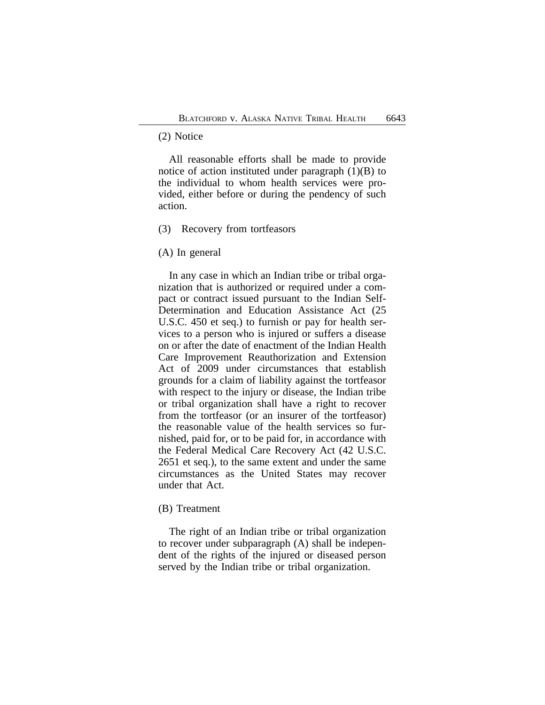# (2) Notice

All reasonable efforts shall be made to provide notice of action instituted under paragraph  $(1)(B)$  to the individual to whom health services were provided, either before or during the pendency of such action.

#### (3) Recovery from tortfeasors

### (A) In general

In any case in which an Indian tribe or tribal organization that is authorized or required under a compact or contract issued pursuant to the Indian Self-Determination and Education Assistance Act (25 U.S.C. 450 et seq.) to furnish or pay for health services to a person who is injured or suffers a disease on or after the date of enactment of the Indian Health Care Improvement Reauthorization and Extension Act of 2009 under circumstances that establish grounds for a claim of liability against the tortfeasor with respect to the injury or disease, the Indian tribe or tribal organization shall have a right to recover from the tortfeasor (or an insurer of the tortfeasor) the reasonable value of the health services so furnished, paid for, or to be paid for, in accordance with the Federal Medical Care Recovery Act (42 U.S.C. 2651 et seq.), to the same extent and under the same circumstances as the United States may recover under that Act.

# (B) Treatment

The right of an Indian tribe or tribal organization to recover under subparagraph (A) shall be independent of the rights of the injured or diseased person served by the Indian tribe or tribal organization.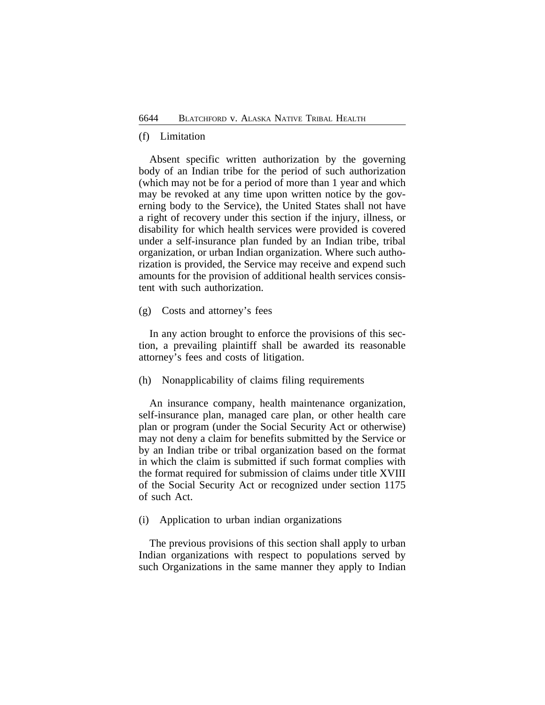# (f) Limitation

Absent specific written authorization by the governing body of an Indian tribe for the period of such authorization (which may not be for a period of more than 1 year and which may be revoked at any time upon written notice by the governing body to the Service), the United States shall not have a right of recovery under this section if the injury, illness, or disability for which health services were provided is covered under a self-insurance plan funded by an Indian tribe, tribal organization, or urban Indian organization. Where such authorization is provided, the Service may receive and expend such amounts for the provision of additional health services consistent with such authorization.

(g) Costs and attorney's fees

In any action brought to enforce the provisions of this section, a prevailing plaintiff shall be awarded its reasonable attorney's fees and costs of litigation.

(h) Nonapplicability of claims filing requirements

An insurance company, health maintenance organization, self-insurance plan, managed care plan, or other health care plan or program (under the Social Security Act or otherwise) may not deny a claim for benefits submitted by the Service or by an Indian tribe or tribal organization based on the format in which the claim is submitted if such format complies with the format required for submission of claims under title XVIII of the Social Security Act or recognized under section 1175 of such Act.

(i) Application to urban indian organizations

The previous provisions of this section shall apply to urban Indian organizations with respect to populations served by such Organizations in the same manner they apply to Indian